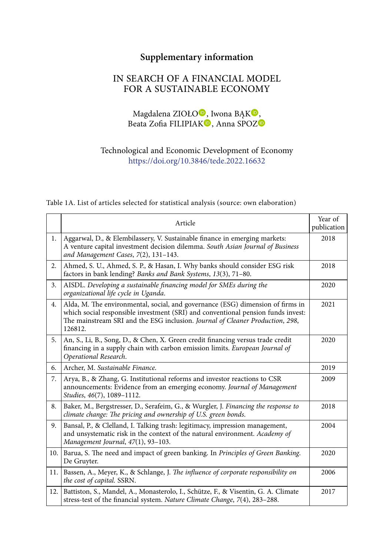## **Supplementary information**

## IN SEARCH OF A FINANCIAL MODEL FOR A SUSTAINABLE ECONOMY

Magdalena ZIOŁO<sup>O</sup>[,](https://orcid.org/0000-0003-4136-046X) [I](https://orcid.org/0000-0002-5480-5264)wona BAK<sup>O</sup>, Beata [Z](https://orcid.org/0000-0001-5071-0017)ofia FILIPIAK<sup>O</sup>, Anna SPOZ<sup>O</sup>

Technological and Economic Development of Economy <https://doi.org/10.3846/tede.2022.16632>

Table 1A. List of articles selected for statistical analysis (source: own elaboration)

|      | Article                                                                                                                                                                                                                                                        | Year of<br>publication |
|------|----------------------------------------------------------------------------------------------------------------------------------------------------------------------------------------------------------------------------------------------------------------|------------------------|
| 1.   | Aggarwal, D., & Elembilassery, V. Sustainable finance in emerging markets:<br>A venture capital investment decision dilemma. South Asian Journal of Business<br>and Management Cases, 7(2), 131-143.                                                           | 2018                   |
| 2.   | Ahmed, S. U., Ahmed, S. P., & Hasan, I. Why banks should consider ESG risk<br>factors in bank lending? Banks and Bank Systems, 13(3), 71-80.                                                                                                                   | 2018                   |
| 3.   | AISDL. Developing a sustainable financing model for SMEs during the<br>organizational life cycle in Uganda.                                                                                                                                                    | 2020                   |
| 4.   | Alda, M. The environmental, social, and governance (ESG) dimension of firms in<br>which social responsible investment (SRI) and conventional pension funds invest:<br>The mainstream SRI and the ESG inclusion. Journal of Cleaner Production, 298,<br>126812. | 2021                   |
| 5.   | An, S., Li, B., Song, D., & Chen, X. Green credit financing versus trade credit<br>financing in a supply chain with carbon emission limits. European Journal of<br>Operational Research.                                                                       | 2020                   |
| 6.   | Archer, M. Sustainable Finance.                                                                                                                                                                                                                                | 2019                   |
| 7.   | Arya, B., & Zhang, G. Institutional reforms and investor reactions to CSR<br>announcements: Evidence from an emerging economy. Journal of Management<br>Studies, 46(7), 1089-1112.                                                                             | 2009                   |
| 8.   | Baker, M., Bergstresser, D., Serafeim, G., & Wurgler, J. Financing the response to<br>climate change: The pricing and ownership of U.S. green bonds.                                                                                                           | 2018                   |
| 9.   | Bansal, P., & Clelland, I. Talking trash: legitimacy, impression management,<br>and unsystematic risk in the context of the natural environment. Academy of<br>Management Journal, 47(1), 93-103.                                                              | 2004                   |
| 10.1 | Barua, S. The need and impact of green banking. In Principles of Green Banking.<br>De Gruyter.                                                                                                                                                                 | 2020                   |
| 11.1 | Bassen, A., Meyer, K., & Schlange, J. The influence of corporate responsibility on<br>the cost of capital. SSRN.                                                                                                                                               | 2006                   |
| 12.1 | Battiston, S., Mandel, A., Monasterolo, I., Schütze, F., & Visentin, G. A. Climate<br>stress-test of the financial system. Nature Climate Change, 7(4), 283-288.                                                                                               | 2017                   |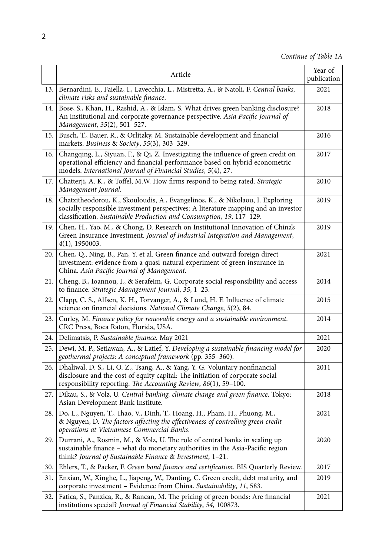|      | Article                                                                                                                                                                                                                                      | Year of<br>publication |
|------|----------------------------------------------------------------------------------------------------------------------------------------------------------------------------------------------------------------------------------------------|------------------------|
| 13.  | Bernardini, E., Faiella, I., Lavecchia, L., Mistretta, A., & Natoli, F. Central banks,<br>climate risks and sustainable finance.                                                                                                             | 2021                   |
| 14.  | Bose, S., Khan, H., Rashid, A., & Islam, S. What drives green banking disclosure?<br>An institutional and corporate governance perspective. Asia Pacific Journal of<br>Management, 35(2), 501-527.                                           | 2018                   |
| 15.  | Busch, T., Bauer, R., & Orlitzky, M. Sustainable development and financial<br>markets. Business & Society, 55(3), 303-329.                                                                                                                   | 2016                   |
| 16.1 | Changqing, L., Siyuan, F., & Qi, Z. Investigating the influence of green credit on<br>operational efficiency and financial performance based on hybrid econometric<br>models. International Journal of Financial Studies, 5(4), 27.          | 2017                   |
| 17.  | Chatterji, A. K., & Toffel, M.W. How firms respond to being rated. Strategic<br>Management Journal.                                                                                                                                          | 2010                   |
| 18.  | Chatzitheodorou, K., Skouloudis, A., Evangelinos, K., & Nikolaou, I. Exploring<br>socially responsible investment perspectives: A literature mapping and an investor<br>classification. Sustainable Production and Consumption, 19, 117-129. | 2019                   |
| 19.1 | Chen, H., Yao, M., & Chong, D. Research on Institutional Innovation of China's<br>Green Insurance Investment. Journal of Industrial Integration and Management,<br>$4(1)$ , 1950003.                                                         | 2019                   |
| 20.  | Chen, Q., Ning, B., Pan, Y. et al. Green finance and outward foreign direct<br>investment: evidence from a quasi-natural experiment of green insurance in<br>China. Asia Pacific Journal of Management.                                      | 2021                   |
| 21.  | Cheng, B., Ioannou, I., & Serafeim, G. Corporate social responsibility and access<br>to finance. Strategic Management Journal, 35, 1-23.                                                                                                     | 2014                   |
| 22.  | Clapp, C. S., Alfsen, K. H., Torvanger, A., & Lund, H. F. Influence of climate<br>science on financial decisions. National Climate Change, 5(2), 84.                                                                                         | 2015                   |
| 23.  | Curley, M. Finance policy for renewable energy and a sustainable environment.<br>CRC Press, Boca Raton, Florida, USA.                                                                                                                        | 2014                   |
| 24.  | Delimatsis, P. Sustainable finance. May 2021                                                                                                                                                                                                 | 2021                   |
| 25.  | Dewi, M. P., Setiawan, A., & Latief, Y. Developing a sustainable financing model for<br>geothermal projects: A conceptual framework (pp. 355-360).                                                                                           | 2020                   |
|      | 26. Dhaliwal, D. S., Li, O. Z., Tsang, A., & Yang, Y. G. Voluntary nonfinancial<br>disclosure and the cost of equity capital: The initiation of corporate social<br>responsibility reporting. The Accounting Review, 86(1), 59-100.          | 2011                   |
| 27.  | Dikau, S., & Volz, U. Central banking, climate change and green finance. Tokyo:<br>Asian Development Bank Institute.                                                                                                                         | 2018                   |
| 28.  | Do, L., Nguyen, T., Thao, V., Dinh, T., Hoang, H., Pham, H., Phuong, M.,<br>& Nguyen, D. The factors affecting the effectiveness of controlling green credit<br>operations at Vietnamese Commercial Banks.                                   | 2021                   |
| 29.  | Durrani, A., Rosmin, M., & Volz, U. The role of central banks in scaling up<br>sustainable finance - what do monetary authorities in the Asia-Pacific region<br>think? Journal of Sustainable Finance $\&$ Investment, 1-21.                 | 2020                   |
| 30.  | Ehlers, T., & Packer, F. Green bond finance and certification. BIS Quarterly Review.                                                                                                                                                         | 2017                   |
| 31.  | Enxian, W., Xinghe, L., Jiapeng, W., Danting, C. Green credit, debt maturity, and<br>corporate investment - Evidence from China. Sustainability, 11, 583.                                                                                    | 2019                   |
| 32.  | Fatica, S., Panzica, R., & Rancan, M. The pricing of green bonds: Are financial<br>institutions special? Journal of Financial Stability, 54, 100873.                                                                                         | 2021                   |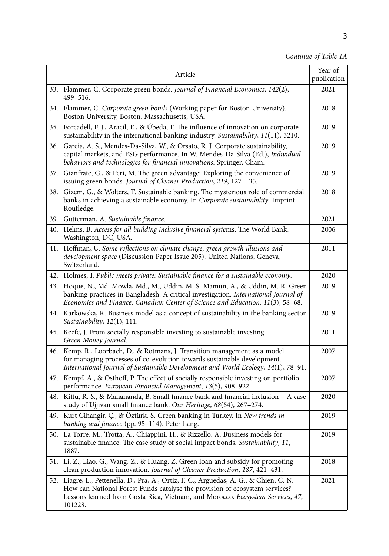## *Continue of Table 1A*

|       | Article                                                                                                                                                                                                                                                        | Year of<br>publication |
|-------|----------------------------------------------------------------------------------------------------------------------------------------------------------------------------------------------------------------------------------------------------------------|------------------------|
|       | 33. Flammer, C. Corporate green bonds. Journal of Financial Economics, 142(2),<br>499-516.                                                                                                                                                                     | 2021                   |
| 34. l | Flammer, C. Corporate green bonds (Working paper for Boston University).<br>Boston University, Boston, Massachusetts, USA.                                                                                                                                     | 2018                   |
| 35.   | Forcadell, F. J., Aracil, E., & Úbeda, F. The influence of innovation on corporate<br>sustainability in the international banking industry. Sustainability, 11(11), 3210.                                                                                      | 2019                   |
| 36.   | Garcia, A. S., Mendes-Da-Silva, W., & Orsato, R. J. Corporate sustainability,<br>capital markets, and ESG performance. In W. Mendes-Da-Silva (Ed.), Individual<br>behaviors and technologies for financial innovations. Springer, Cham.                        | 2019                   |
| 37.   | Gianfrate, G., & Peri, M. The green advantage: Exploring the convenience of<br>issuing green bonds. Journal of Cleaner Production, 219, 127-135.                                                                                                               | 2019                   |
| 38.   | Gizem, G., & Wolters, T. Sustainable banking. The mysterious role of commercial<br>banks in achieving a sustainable economy. In Corporate sustainability. Imprint<br>Routledge.                                                                                | 2018                   |
| 39.   | Gutterman, A. Sustainable finance.                                                                                                                                                                                                                             | 2021                   |
| 40.   | Helms, B. Access for all building inclusive financial systems. The World Bank,<br>Washington, DC, USA.                                                                                                                                                         | 2006                   |
| 41.   | Hoffman, U. Some reflections on climate change, green growth illusions and<br>development space (Discussion Paper Issue 205). United Nations, Geneva,<br>Switzerland.                                                                                          | 2011                   |
| 42.   | Holmes, I. Public meets private: Sustainable finance for a sustainable economy.                                                                                                                                                                                | 2020                   |
| 43.   | Hoque, N., Md. Mowla, Md., M., Uddin, M. S. Mamun, A., & Uddin, M. R. Green<br>banking practices in Bangladesh: A critical investigation. International Journal of<br>Economics and Finance, Canadian Center of Science and Education, 11(3), 58-68.           | 2019                   |
| 44.   | Karkowska, R. Business model as a concept of sustainability in the banking sector.<br>Sustainability, 12(1), 111.                                                                                                                                              | 2019                   |
| 45.   | Keefe, J. From socially responsible investing to sustainable investing.<br>Green Money Journal.                                                                                                                                                                | 2011                   |
| 46.   | Kemp, R., Loorbach, D., & Rotmans, J. Transition management as a model<br>for managing processes of co-evolution towards sustainable development.<br>International Journal of Sustainable Development and World Ecology, 14(1), 78-91.                         | 2007                   |
| 47.   | Kempf, A., & Osthoff, P. The effect of socially responsible investing on portfolio<br>performance. European Financial Management, 13(5), 908-922.                                                                                                              | 2007                   |
| 48.   | Kittu, R. S., & Mahananda, B. Small finance bank and financial inclusion - A case<br>study of Ujjivan small finance bank. Our Heritage, 68(54), 267-274.                                                                                                       | 2020                   |
| 49.   | Kurt Cihangir, Ç., & Öztürk, S. Green banking in Turkey. In New trends in<br>banking and finance (pp. 95-114). Peter Lang.                                                                                                                                     | 2019                   |
| 50. l | La Torre, M., Trotta, A., Chiappini, H., & Rizzello, A. Business models for<br>sustainable finance: The case study of social impact bonds. Sustainability, 11,<br>1887.                                                                                        | 2019                   |
| 51.   | Li, Z., Liao, G., Wang, Z., & Huang, Z. Green loan and subsidy for promoting<br>clean production innovation. Journal of Cleaner Production, 187, 421-431.                                                                                                      | 2018                   |
| 52.   | Liagre, L., Pettenella, D., Pra, A., Ortiz, F. C., Arguedas, A. G., & Chien, C. N.<br>How can National Forest Funds catalyse the provision of ecosystem services?<br>Lessons learned from Costa Rica, Vietnam, and Morocco. Ecosystem Services, 47,<br>101228. | 2021                   |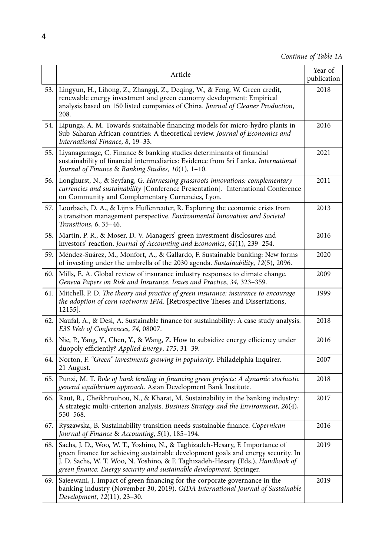|      | Article                                                                                                                                                                                                                                                                                                                      | Year of<br>publication |
|------|------------------------------------------------------------------------------------------------------------------------------------------------------------------------------------------------------------------------------------------------------------------------------------------------------------------------------|------------------------|
| 53.1 | Lingyun, H., Lihong, Z., Zhangqi, Z., Deqing, W., & Feng, W. Green credit,<br>renewable energy investment and green economy development: Empirical<br>analysis based on 150 listed companies of China. Journal of Cleaner Production,<br>208.                                                                                | 2018                   |
| 54.  | Lipunga, A. M. Towards sustainable financing models for micro-hydro plants in<br>Sub-Saharan African countries: A theoretical review. Journal of Economics and<br>International Finance, 8, 19-33.                                                                                                                           | 2016                   |
| 55.  | Liyanagamage, C. Finance & banking studies determinants of financial<br>sustainability of financial intermediaries: Evidence from Sri Lanka. International<br>Journal of Finance & Banking Studies, 10(1), 1-10.                                                                                                             | 2021                   |
|      | 56. Longhurst, N., & Seyfang, G. Harnessing grassroots innovations: complementary<br>currencies and sustainability [Conference Presentation]. International Conference<br>on Community and Complementary Currencies, Lyon.                                                                                                   | 2011                   |
| 57.1 | Loorbach, D. A., & Lijnis Huffenreuter, R. Exploring the economic crisis from<br>a transition management perspective. Environmental Innovation and Societal<br>Transitions, 6, 35-46.                                                                                                                                        | 2013                   |
| 58.  | Martin, P. R., & Moser, D. V. Managers' green investment disclosures and<br>investors' reaction. Journal of Accounting and Economics, 61(1), 239-254.                                                                                                                                                                        | 2016                   |
| 59.  | Méndez-Suárez, M., Monfort, A., & Gallardo, F. Sustainable banking: New forms<br>of investing under the umbrella of the 2030 agenda. Sustainability, 12(5), 2096.                                                                                                                                                            | 2020                   |
| 60.  | Mills, E. A. Global review of insurance industry responses to climate change.<br>Geneva Papers on Risk and Insurance. Issues and Practice, 34, 323–359.                                                                                                                                                                      | 2009                   |
| 61.  | Mitchell, P. D. The theory and practice of green insurance: insurance to encourage<br>the adoption of corn rootworm IPM. [Retrospective Theses and Dissertations,<br>$12155$ .                                                                                                                                               | 1999                   |
|      | 62. Naufal, A., & Desi, A. Sustainable finance for sustainability: A case study analysis.<br>E3S Web of Conferences, 74, 08007.                                                                                                                                                                                              | 2018                   |
| 63.1 | Nie, P., Yang, Y., Chen, Y., & Wang, Z. How to subsidize energy efficiency under<br>duopoly efficiently? Applied Energy, 175, 31-39.                                                                                                                                                                                         | 2016                   |
| 64.  | Norton, F. "Green" investments growing in popularity. Philadelphia Inquirer.<br>21 August.                                                                                                                                                                                                                                   | 2007                   |
| 65.  | Punzi, M. T. Role of bank lending in financing green projects: A dynamic stochastic<br>general equilibrium approach. Asian Development Bank Institute.                                                                                                                                                                       | 2018                   |
| 66.  | Raut, R., Cheikhrouhou, N., & Kharat, M. Sustainability in the banking industry:<br>A strategic multi-criterion analysis. Business Strategy and the Environment, 26(4),<br>550–568.                                                                                                                                          | 2017                   |
| 67.  | Ryszawska, B. Sustainability transition needs sustainable finance. Copernican<br>Journal of Finance & Accounting, 5(1), 185-194.                                                                                                                                                                                             | 2016                   |
| 68.  | Sachs, J. D., Woo, W. T., Yoshino, N., & Taghizadeh-Hesary, F. Importance of<br>green finance for achieving sustainable development goals and energy security. In<br>J. D. Sachs, W. T. Woo, N. Yoshino, & F. Taghizadeh-Hesary (Eds.), Handbook of<br>green finance: Energy security and sustainable development. Springer. | 2019                   |
| 69.  | Sajeewani, J. Impact of green financing for the corporate governance in the<br>banking industry (November 30, 2019). OIDA International Journal of Sustainable<br>Development, 12(11), 23–30.                                                                                                                                | 2019                   |